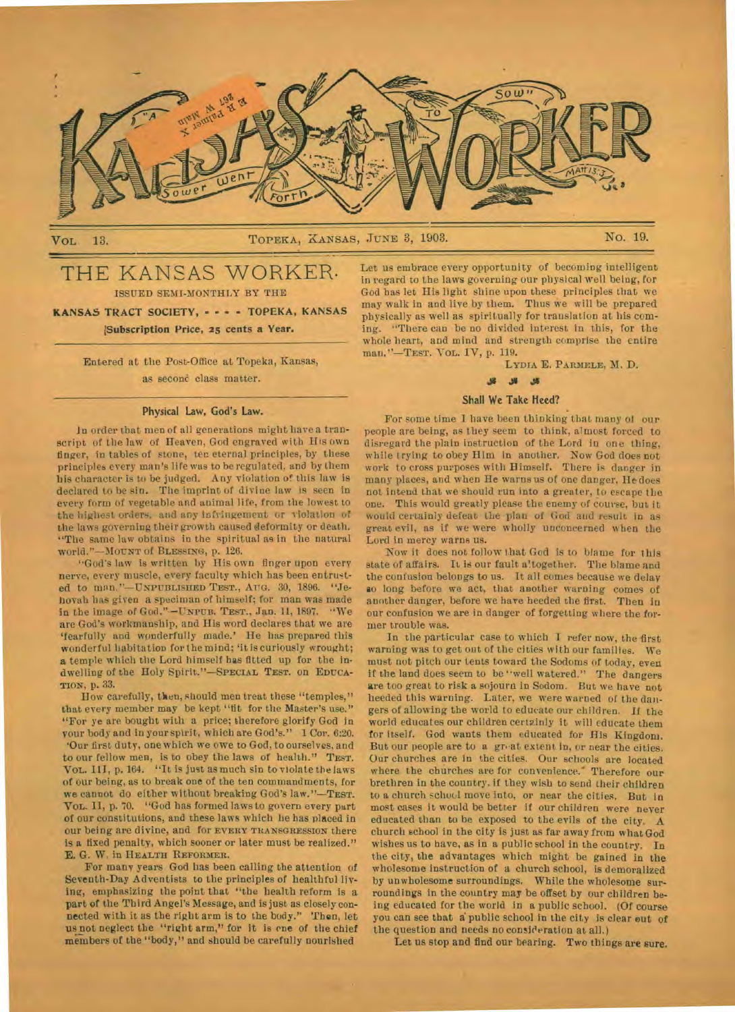

# VOL. 13. TOPEKA, KANSAS, JUNE 3, 1903. No. 19.

# THE KANSAS WORKER. ISSUED SEMI-MONTHLY BY THE

KANSAS TRACT SOCIETY, - - - - TOPEKA, KANSAS pubscription Price, 25 *cents* a Year.

> Entered at the Post-Office at Topeka, Kansas, as second class matter.

#### **Physical Law, God's Law.**

**lo** order that men of all generations might have a transcript of the law of Heaven, God engraved with His own finger, in tables of stone, ten eternal principles, by these principled every man's life was to be regulated, and by them his character is to be judged. Any violation of this law is declared to be sin. The imprint of divine law is seen in every form of vegetable and animal life, from the lowest to the highest orders, and any infringement or violation of the laws governing their growth caused deformity or death. "The same law obtains in the spiritual as in the natural world."—MOUNT of **BLESSING,** p. 126.

"God's law is written by His own finger upon every nerve, every muscle, every faculty which has been entrusted to man."—UNPUBLISHED **TEST., AT7G.** 30, 1896. ''Jehovah has given a specimen of himself; for man was made In the image of God."•—UNrUs. **TEST.,** Jan. 11, 1897. "We are God's workmanship, and His word declares that we are 'fearfully and wonderfully made.' He has prepared this wonderful habitation for the mind; 'it is curiously wrought; **a** temple which the Lord himself has fitted up for the indwelling of the Holy **Spirit."—SPECIAL TEST.** on **EDUCA-TION,** p. 33.

How carefully, then, should men treat these "temples," that every member may be kept "fit for the Master's use." "For ye are bought with a price; therefore glorify God in your body and in your spirit, which are God's." 1 Cor. 6:20. 'Our first duty, one which we owe to God, to ourselves, and to our fellow men, is to obey the laws of health." **TEST. VOL. 111,** p. 164. "It is just as much sin to violate the laws of our being, as to break one of the ten commandments, for we cannot do either without breaking God's law."—TEST. Vol. II, p. 70. "God has formed laws to govern every part of our constitutions, and these laws which he has placed in our being are divine, and for **EVERY TRANSGRESSION** there is a fixed penalty, which sooner or later must be realized." E. G. W. in HEALTH **REFORMER.** 

For many years God has been calling the attention of Seventh-Day Adventists to the principles of healthful living, emphasizing the point that "the health reform is a part of the Third Angel's Message, and is just as closely connected with it as the right arm is to the body." Then, let us not neglect the "right arm," for it is *ene* of the chief members of the "body," and should be carefully nourished

Let us embrace every opportunity of becoming intelligent in regard to the laws governing our physical well being, for God has let His light shine upon these principles that we may walk in and live by them. Thus we will be prepared physically as well as spiritually for translation at his coming. "There can be no divided interest in this, for the whole heart, and mind and strength comprise the entire man."—TEsT. VOL. IV, p. 119.

#### **LYDIA** E. **PARMELE,** M. D.

#### **J.** ..15

# Shall We Take **Heed?**

For some time 1 have been thinking that many ol our people are being, as they seem to think, almost forced to disregard the plain instruction of the Lord in one thing, while trying to obey Him in another. Now God does not work to cross purposes with Himself. There is danger in many places, and when He warns us of one danger, He does not intend that we should run into a greater, to escape the one. This would greatly please the enemy of course, but it would certainly defeat the plan of God and result in as great evil, as if we were wholly unconcerned when the Lord in mercy warns us.

Now it does not follow that God is to blame for this state of affairs. It is our fault altogether. The blame and the confusion belongs to us. It all comes because we delay **BO** long before we act, that another warning comes of another danger, before we have heeded the first. Tben in our confusion we are in danger of forgetting where the former trouble was.

In the particular case to which I refer now, the first warning was to get out of the cities with our families. We must not pitch our tents toward the Sodoms of today, even if the land does seem to be "well watered." The dangers are too great to risk a sojourn in Sodom. But we have not heeded this warning. Later, we were warned of the dangers of allowing the world to educate our children. If the world educates our children certainly it will educate them for itself. God wants them educated for His Kingdom. But our people are to a great extent in, or near the cities. Our churches are in the cities. Our schools are located where the churches are for convenience.' Therefore our brethren in the country. if they wish to send their children to a church schuul move into, or near the cities. But in most cases it would be better if our children were never educated than to be exposed to the evils of the city. A church school in the city is just as far away from what God wishes us to have, as in a public school in the country. In the city, the advantages which might be gained in the wholesome instruction of a church school, is demoralized by unwholesome surroundings. While the wholesome surroundings in the country may be offset by our children being educated for the world in a public school. (Of course you can see that a public school in the city is clear out of the question and needs no consideration at all.)

Let us stop and find our bearing. Two things *are* sure.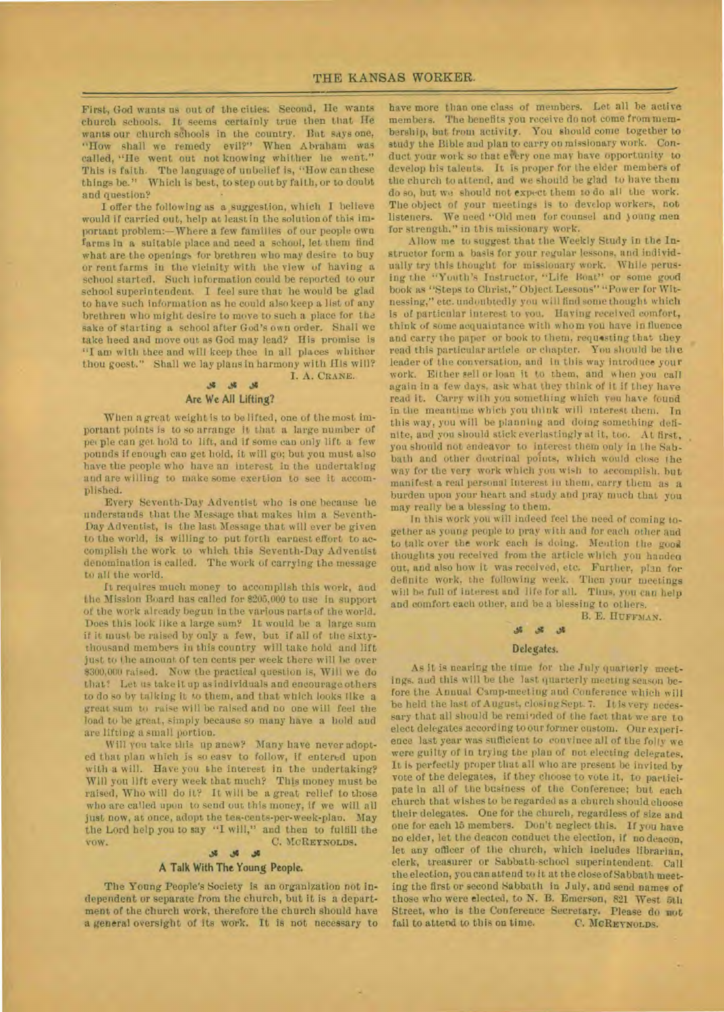First, God wants us out of the cities: Second, He wants church schools. It seems certainly true then that He wants our church schools in the country. But says one, "How shall we remedy evil?" When Abraham was called, "He went out not knowing whither lie went." This is faith. The language of unbelief is, "How can these things be." Which is best, to step out by faith, or to doubt and question?

I offer the following as a suggestion, which I believe would if carried out, help at least in the solution of this important problem:—Where a few families of our people own farms in a suitable place and need a school, let them find what are the openings for brethren who may desire to buy or rent farms in the vicinity with the view of having a school started. Such information could be reported to our school superintendent. I feel sure that he would be glad to have such information as he could also keep a list of any brethren who might desire to move to such a place for the sake of starting a school after God's own order. Shall we take heed and move out as God may lead? His promise is "I am with thee and will keep thee in all places whither thou goest." Shall we lay plans in harmony with His will? I. A. CRANE.

# 36 36 36 Are We All Lifting?

When a great weight is to be lifted, one of the most important points is to so arrange it that a large number of pet ple can get hold to lift, and if some can only lift a few pounds if enough can *get* hold, it will go; but you must also have the people who have an interest in the undertaking and are willing to make some exertion to see it accomplished.

Every Seventh-Day Adventist who is one because he understands that the Message that makes him a Seventh-Day Adventist, is the last Message that will ever be given to the world, is willing to put forth earnest effort to accomplish the work to which this Seventh-Day Adventist denomination is called. The work of carrying the message to all the world.

It requires much money to accomplish this work, and the Mission Board has called for 8205,000 to use in support of the work already begun in the various parts of the world. Does this look like a large sum? It would be a large sum if it must be raised by only a few, but if all of the sixtythousand members in this country will take hold and lift just to the amount of ten cents per week there will be over 8300,000 raised. Now the practical question is, Will we do that? Let us take it up as individuals and encourage others to do so by talking it to them, and that which looks like a great sum to raise will be raised and no one will feel the load to be great, simply because so many have a hold and are lifting a small portion.

Will you take this up anew? Many have never adopted that plan which is so easy to follow, if entered upon with a will. Have you the interest in the undertaking? Will you lift every week that much? This money must be raised, Who will do iL? It will be a great relief to those who are called upon to send out this money, if we will all just now, at once, adopt the tea-cents-per-week-plan. May the Lord help you to say **"I** will," and then to fulfill the vow. C. McREYNOLDS.

# .11

## **A** Talk With **The Young People.**

The Young People's Society is an organization not independent or separate from the church, but it is a department of the church work, therefore the church should have a general oversight of its work. It is not necessary to

have more than one class of members. Let all be active members. The benefits you receive do not come from membership, but from activity. You should come together to study the Bible and plan to carry on missionary work. Conduct your work so that every one may have opportunity to develop his talents. It is proper for the elder members of the church to attend, and we should be glad to have them do so, but we should not expect them to do all the work. The object of your meetings is to develop workers, not listeners. We need "Old men for- counsel and young men for strength," in this missionary work.

Allow me to suggest that the Weekly Study in the Instructor form a basis for your regular lessons, and individually try this thought for missionary work. While perusing the "Youth's Instructor, "Life Boat" or some good book as "Steps to Christ," Object Lessons" "Power for Witnessing," etc. undoubtedly you will find some thought which Is of particular interest to you. Having received comfort, think of some acquaintance with **whom** you have influence and carry the paper or book to them, requesting that they read this particular article or chapter. You should be the leader of the conversation, and in this way introduce your work. Either sell or loan it to them, and when you call again in a few days, ask what they think of it if they have read it. Carry with you something which you have found in the meantime which you think will interest them. In this way, you will be planning and doing something definite, and you should stick everlastingly at it, too. At first, you should not endeavor to interest them only in the Sabbath and other doctrinal points, which would close the way for the very work which you wish to accomplish. **but**  manifest a real personal interest in them, carry them as a burden upon your heart and study and pray much that you may really be a blessing to them.

In this work you will indeed feel the need of coming together as young people to pray with and for each other and to talk over the work each is doing. Mention the good thoughts you received from the article which you handea out, and also how it was received, etc. Further, plan for definite work, the following week. Then your meetings will be full of interest and life for all. Thus, you can help and comfort each other, and be a blessing to others.

B. E. HUFFMAN.

#### **Ji**   $\mathcal{A}$

#### **Delegates.**

As it is nearing the time for the July quarterly meetings. and this will be the last quarterly meeting season before the Annual Camp-meeting and Conference which will be held the last of August, closing Sept. 7. It is very necessary that all should be reminded of the fact that we are to elect delegates according to our former custom. Our experience last year was sufficient to convince all of the folly we were guilty of in trying the plan of not electing delegates. It is perfectly proper that all who are present be invited by vote of the delegates, if they choose to vote it, to participate in all of the business of the Conference; but each church that wishes to be regarded as a church should choose their delegates. One for the church, regardless of size and one for each 15 members. Don't neglect this. If you have no elder, let the deacon conduct the election, if no deacon, let any officer of the church, which includes librarian, clerk, treasurer or Sabbath-school superintendent. Call the election, you can attend to it at the close of Sabbath meeting the first or second Sabbath in July. and send names of those who were elected, to N. B. Emerson, 821 West 5th Street, who is the Conference Secretary. Please do not fail to attend to this on time. C. MCREYNOLDS. fail to attend to this on time.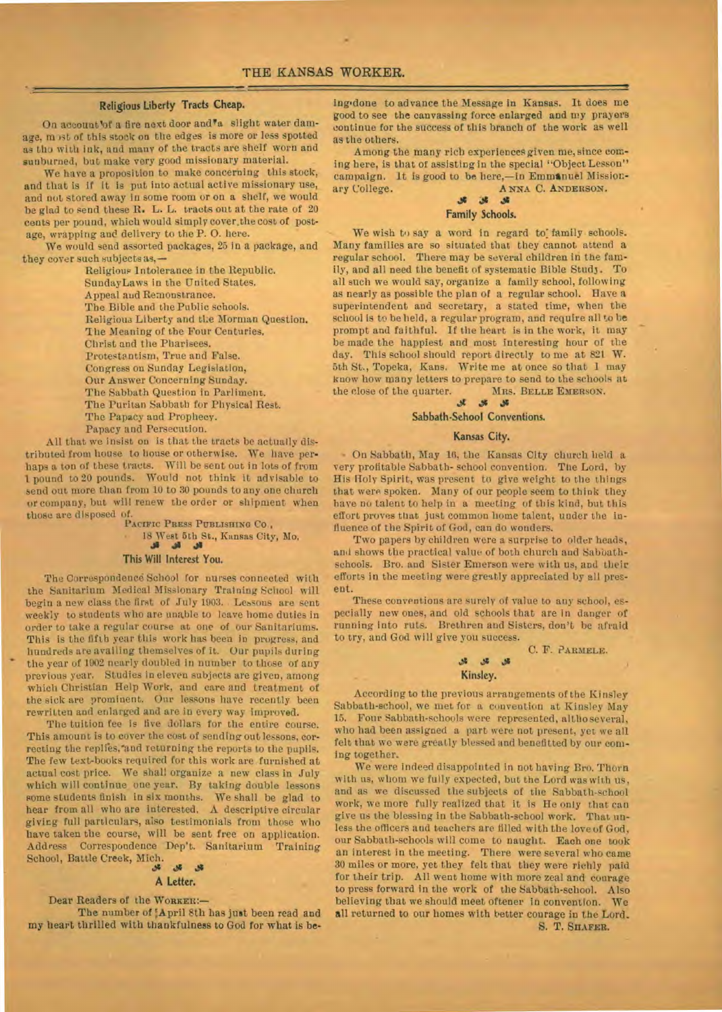# **Religious liberty Tracts Cheap.**

On account of a fire next door and<sup>v</sup>a slight water damage, m )st of this stock on the edges is more or less spotted as tho with ink, and many of the tracts are shelf worn and sunburned, but make very good missionary material.

We have a proposition to make concerning this stock, and that is if it is put into actual active missionary use, and not stored away in some room or on a shelf, we would be glad to send these **R. L.** L. tracts out at the rate of 20 cents per pound, which would simply cover,the cost of postage, wrapping and delivery to the P. **0.** here.

We would send assorted packages, 25 In a package, and they cover such subjects as,—

Religious Intolerance in the Republic. SundayLaws in the United States. Appeal and Remonstrance. The Bible and the Public schools. Religious Liberty and the Merman Question. Ihe Meaning of the Four Centuries. Christ and the Pharisees. Protestantism, True and False. Congress on Sunday Legislation, Our Answer Concerning Sunday. The Sabbath Question in Parliment. The Puritan Sabbath for Physical Rest. The Papacy and Prophecy. Papacy and Persecution.

All that we insist **on** is that the tracts be actually distributed from house to house or otherwise. We have perhaps a ton of these tracts. Will be sent out in lots of from 1 pound to 20 pounds. Would not think it advisable to send out more than from 10 to 30 pounds to any one church or company, but will renew the order or shipment when those are disposed of

PACIFIC PRESS PUBLISHING CO., . 18 West 5th St., Kansas City, Mo. ال ال ال

## **This Will Interest** You.

The Correspondenc6 School for nurses connected with the Sanitarium Medical Missionary Training School will begin a new class the **first** of July 1903. Lessons are sent weekly to students who are unable to leave home duties in order to take a regular course at one of our Sanitariums. This is the fifth year this work has been in progress, and This is the fifth year this work has been in progress, and<br>
hundreds are availing themselves of it. Our pupils during<br>
the year of 1902 nearly doubled in number to those of any<br>
newtons year. Studies in eleven subjects are previous year. Studies in eleven subjects are given, among which Christian Help Work, and care and treatment of the sick are prominent. Our lessons have recently been rewritten and enlarged and are in every way improved.

The tuition fee is five dollars for the entire course. This amount is to cover the cost of sending out lessons, correcting the replies, and returning the reports to the pupils. The few text-books required for this work are furnished at actual cost price. We shall organize a new class in July which will continue one year. By taking double lessons some students finish in six months. We shall be glad to hear from all who **are interested.** A descriptive circular givicg full particulars, also testimonials from those who have taken the course, will be sent free on application. Address Correspondence Dep't. Sanitarium Training School, Battle Creek, Mich.

#### $\mathcal{S}$  $\mathcal{B}$

# **A Letter.**

Dear Readers of the WORKER:-

**II**

**The number of :April** 8th has **just been read and my heart thrilled with thankfulness to God for what is be-** **ing.done to advance the** *Message* in Kansas. It does me good to see the canvassing force enlarged and my prayers continue for the success of this branch of the work as well as the others.

Among the many rich experiences given me, since coming here, is that of assisting in the special "Object Lesson" campaign. It is good to be here,—in **Emmenuel** Missionary College. **ANNA C. ANDERSON.** 

#### **w+1**  Family Schools.

We wish to say a word in regard to family schools. Many families are so situated that they cannot attend **a**  regular school. There may be several children in the family, and all need the benefit of systematic Bible Study. To all such we would say, organize a family school, following as nearly as possible the plan of a regular school. Have a superintendent and secretary, a stated time, when the school is to be held, a regular program, and require all to **be**  prompt and faithful. If the heart is in the work, it may be made the happiest and most interesting hour of the day. This school should report directly to me at 821 W. 5th St., Topeka, Kans. Write me at once so that 1 may know how many letters to prepare to send to the schools at the close of the quarter. **MRS. BELLE EMBRSON. MRS.** BELLE EMBRSON.

# **Sabbath-Sehool Conventions.**

## **Kansas City.**

• On Sabbath, May 16, the Kansas City church held a very profitable Sabbath- school convention. The Lord, by His Holy Spirit, was present to give weight to the things that were spoken. Many of our people seem to think they have no talent to help in a meeting of this kind, but this effort proves that just common home talent, under the influence of the Spirit of God, can do wonders.

Two papers by children were a surprise to older heads, and shows the practical value of both church and Sabbathschools. Bro. and Sister Emerson were with us, and their efforts in the meeting *were* greatly appreciated by all present.

These conventions are surely of value to any school, especially new ones, and old schools that are in danger of running Into ruts. Brethren and Sisters, don't be afraid to try, and God will give you success.

C. F. **PARMELE.** 

# **Kinsley.**

**.s1 .ss** 

According to the previous arrangements of the Kinsley Sabbath-school, we met for a convention at Kinsley May 15. Four Sabbath-schools were represented, altho several, who had been assigned a part were not present, yet we all felt that we were greatly blessed and benefitted by our **coming together.** 

We were indeed disappointed in not having Bro. Thorn with us, whom we fully expected, but the Lord was with us, and as we discussed the subjects of the Sabbath-school work, we more fully realized that it is He only that can give **us** the blessing in the Sabbath-school work. That unless the officers and teachers are filled with the love of God, our Sabbath-schools will come to naught. Each one took an interest in the meeting. There were several who came 30 miles or more. yet they felt that *they* were richly paid for their trip. All went home with more zeal and courage to press forward in the work of the Sabbath-school. Also believing that we should meet oftener in convention. **We all returned to our homes with better courage in the Lord.** 

**S. T. SHAFER.**